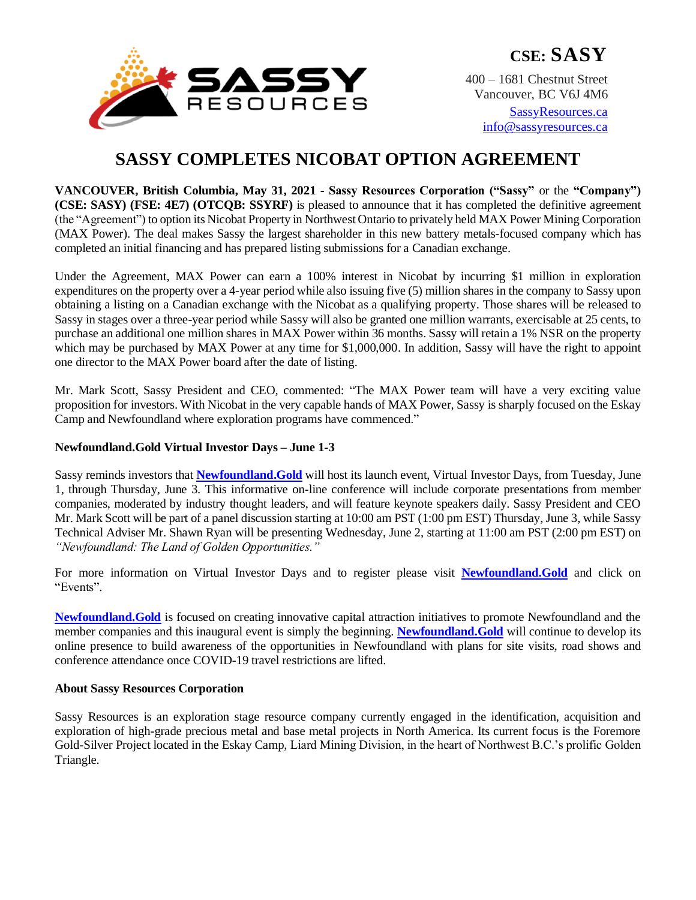

**CSE: SASY**

400 – 1681 Chestnut Street Vancouver, BC V6J 4M6

[SassyResources.ca](http://www.sassyresources.ca/) [info@sassyresources.ca](mailto:info@sassyresources.ca)

# **SASSY COMPLETES NICOBAT OPTION AGREEMENT**

**VANCOUVER, British Columbia, May 31, 2021 - Sassy Resources Corporation ("Sassy"** or the **"Company") (CSE: SASY) (FSE: 4E7) (OTCQB: SSYRF)** is pleased to announce that it has completed the definitive agreement (the "Agreement") to option its Nicobat Property in Northwest Ontario to privately held MAX Power Mining Corporation (MAX Power). The deal makes Sassy the largest shareholder in this new battery metals-focused company which has completed an initial financing and has prepared listing submissions for a Canadian exchange.

Under the Agreement, MAX Power can earn a 100% interest in Nicobat by incurring \$1 million in exploration expenditures on the property over a 4-year period while also issuing five (5) million shares in the company to Sassy upon obtaining a listing on a Canadian exchange with the Nicobat as a qualifying property. Those shares will be released to Sassy in stages over a three-year period while Sassy will also be granted one million warrants, exercisable at 25 cents, to purchase an additional one million shares in MAX Power within 36 months. Sassy will retain a 1% NSR on the property which may be purchased by MAX Power at any time for \$1,000,000. In addition, Sassy will have the right to appoint one director to the MAX Power board after the date of listing.

Mr. Mark Scott, Sassy President and CEO, commented: "The MAX Power team will have a very exciting value proposition for investors. With Nicobat in the very capable hands of MAX Power, Sassy is sharply focused on the Eskay Camp and Newfoundland where exploration programs have commenced."

## **Newfoundland.Gold Virtual Investor Days – June 1-3**

Sassy reminds investors that **[Newfoundland.Gold](https://newfoundland.gold/)** will host its launch event, Virtual Investor Days, from Tuesday, June 1, through Thursday, June 3. This informative on-line conference will include corporate presentations from member companies, moderated by industry thought leaders, and will feature keynote speakers daily. Sassy President and CEO Mr. Mark Scott will be part of a panel discussion starting at 10:00 am PST (1:00 pm EST) Thursday, June 3, while Sassy Technical Adviser Mr. Shawn Ryan will be presenting Wednesday, June 2, starting at 11:00 am PST (2:00 pm EST) on *"Newfoundland: The Land of Golden Opportunities."*

For more information on Virtual Investor Days and to register please visit **[Newfoundland.Gold](https://newfoundland.gold/)** and click on "Events".

**[Newfoundland.Gold](https://newfoundland.gold/)** is focused on creating innovative capital attraction initiatives to promote Newfoundland and the member companies and this inaugural event is simply the beginning. **[Newfoundland.Gold](https://newfoundland.gold/)** will continue to develop its online presence to build awareness of the opportunities in Newfoundland with plans for site visits, road shows and conference attendance once COVID-19 travel restrictions are lifted.

## **About Sassy Resources Corporation**

Sassy Resources is an exploration stage resource company currently engaged in the identification, acquisition and exploration of high-grade precious metal and base metal projects in North America. Its current focus is the Foremore Gold-Silver Project located in the Eskay Camp, Liard Mining Division, in the heart of Northwest B.C.'s prolific Golden Triangle.